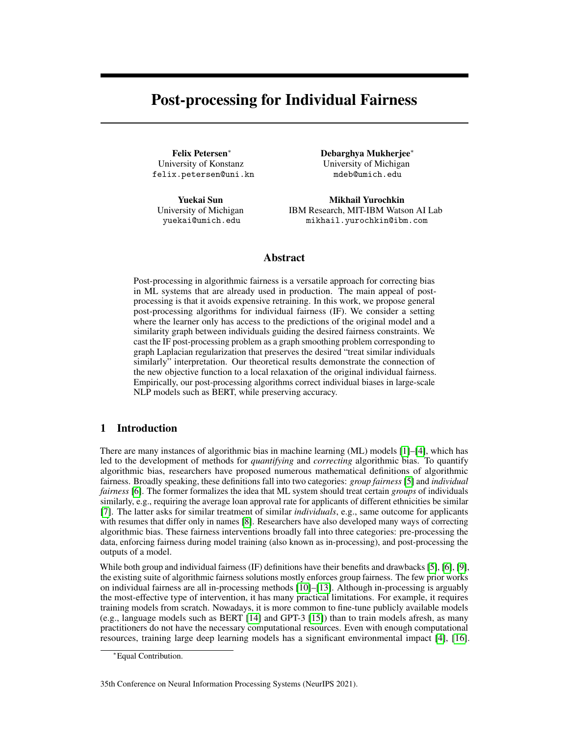# <span id="page-0-0"></span>Post-processing for Individual Fairness

University of Konstanz University of Michigan [felix.petersen@uni.kn](mailto:felix.petersen@uni.kn) [mdeb@umich.edu](mailto:mdeb@umich.edu)

Felix Petersen\* → Debarghya Mukherjee\*

Yuekai Sun **Mikhail Yurochkin** University of Michigan IBM Research, MIT-IBM Watson AI Lab [yuekai@umich.edu](mailto:yuekai@umich.edu) [mikhail.yurochkin@ibm.com](mailto:mikhail.yurochkin@ibm.com)

# Abstract

Post-processing in algorithmic fairness is a versatile approach for correcting bias in ML systems that are already used in production. The main appeal of postprocessing is that it avoids expensive retraining. In this work, we propose general post-processing algorithms for individual fairness (IF). We consider a setting where the learner only has access to the predictions of the original model and a similarity graph between individuals guiding the desired fairness constraints. We cast the IF post-processing problem as a graph smoothing problem corresponding to graph Laplacian regularization that preserves the desired "treat similar individuals similarly" interpretation. Our theoretical results demonstrate the connection of the new objective function to a local relaxation of the original individual fairness. Empirically, our post-processing algorithms correct individual biases in large-scale NLP models such as BERT, while preserving accuracy.

# 1 Introduction

There are many instances of algorithmic bias in machine learning (ML) models [\[1\]](#page-10-0)–[\[4\]](#page-10-1), which has led to the development of methods for *quantifying* and *correcting* algorithmic bias. To quantify algorithmic bias, researchers have proposed numerous mathematical definitions of algorithmic fairness. Broadly speaking, these definitions fall into two categories: *group fairness* [\[5\]](#page-10-2) and *individual fairness* [\[6\]](#page-10-3). The former formalizes the idea that ML system should treat certain *groups* of individuals similarly, e.g., requiring the average loan approval rate for applicants of different ethnicities be similar [\[7\]](#page-10-4). The latter asks for similar treatment of similar *individuals*, e.g., same outcome for applicants with resumes that differ only in names [\[8\]](#page-10-5). Researchers have also developed many ways of correcting algorithmic bias. These fairness interventions broadly fall into three categories: pre-processing the data, enforcing fairness during model training (also known as in-processing), and post-processing the outputs of a model.

While both group and individual fairness (IF) definitions have their benefits and drawbacks [\[5\]](#page-10-2), [\[6\]](#page-10-3), [\[9\]](#page-10-6), the existing suite of algorithmic fairness solutions mostly enforces group fairness. The few prior works on individual fairness are all in-processing methods [\[10\]](#page-10-7)–[\[13\]](#page-10-8). Although in-processing is arguably the most-effective type of intervention, it has many practical limitations. For example, it requires training models from scratch. Nowadays, it is more common to fine-tune publicly available models (e.g., language models such as BERT [\[14\]](#page-10-9) and GPT-3 [\[15\]](#page-10-10)) than to train models afresh, as many practitioners do not have the necessary computational resources. Even with enough computational resources, training large deep learning models has a significant environmental impact [\[4\]](#page-10-1), [\[16\]](#page-10-11).

Equal Contribution.

<sup>35</sup>th Conference on Neural Information Processing Systems (NeurIPS 2021).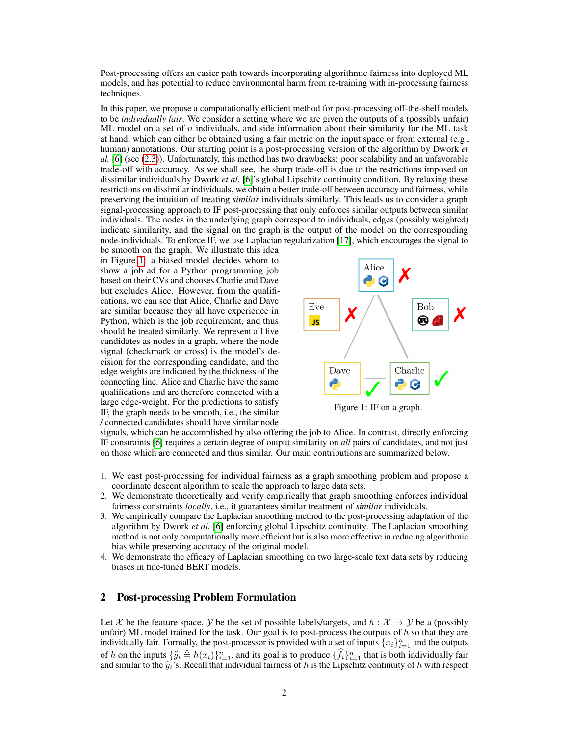Post-processing offers an easier path towards incorporating algorithmic fairness into deployed ML models, and has potential to reduce environmental harm from re-training with in-processing fairness techniques.

In this paper, we propose a computationally efficient method for post-processing off-the-shelf models to be *individually fair*. We consider a setting where we are given the outputs of a (possibly unfair) ML model on a set of n individuals, and side information about their similarity for the ML task at hand, which can either be obtained using a fair metric on the input space or from external (e.g., human) annotations. Our starting point is a post-processing version of the algorithm by Dwork *et al.* [\[6\]](#page-10-3) (see [\(2.3\)](#page-2-0)). Unfortunately, this method has two drawbacks: poor scalability and an unfavorable trade-off with accuracy. As we shall see, the sharp trade-off is due to the restrictions imposed on dissimilar individuals by Dwork *et al.* [\[6\]](#page-10-3)'s global Lipschitz continuity condition. By relaxing these restrictions on dissimilar individuals, we obtain a better trade-off between accuracy and fairness, while preserving the intuition of treating *similar* individuals similarly. This leads us to consider a graph signal-processing approach to IF post-processing that only enforces similar outputs between similar individuals. The nodes in the underlying graph correspond to individuals, edges (possibly weighted) indicate similarity, and the signal on the graph is the output of the model on the corresponding node-individuals. To enforce IF, we use Laplacian regularization [\[17\]](#page-10-12), which encourages the signal to

be smooth on the graph. We illustrate this idea in Figure [1:](#page-1-0) a biased model decides whom to show a job ad for a Python programming job based on their CVs and chooses Charlie and Dave but excludes Alice. However, from the qualifications, we can see that Alice, Charlie and Dave are similar because they all have experience in Python, which is the job requirement, and thus should be treated similarly. We represent all five candidates as nodes in a graph, where the node signal (checkmark or cross) is the model's decision for the corresponding candidate, and the edge weights are indicated by the thickness of the connecting line. Alice and Charlie have the same qualifications and are therefore connected with a large edge-weight. For the predictions to satisfy IF, the graph needs to be smooth, i.e., the similar / connected candidates should have similar node

<span id="page-1-0"></span>

Figure 1: IF on a graph.

signals, which can be accomplished by also offering the job to Alice. In contrast, directly enforcing IF constraints [\[6\]](#page-10-3) requires a certain degree of output similarity on *all* pairs of candidates, and not just on those which are connected and thus similar. Our main contributions are summarized below.

- 1. We cast post-processing for individual fairness as a graph smoothing problem and propose a coordinate descent algorithm to scale the approach to large data sets.
- 2. We demonstrate theoretically and verify empirically that graph smoothing enforces individual fairness constraints *locally*, i.e., it guarantees similar treatment of *similar* individuals.
- 3. We empirically compare the Laplacian smoothing method to the post-processing adaptation of the algorithm by Dwork *et al.* [\[6\]](#page-10-3) enforcing global Lipschitz continuity. The Laplacian smoothing method is not only computationally more efficient but is also more effective in reducing algorithmic bias while preserving accuracy of the original model.
- 4. We demonstrate the efficacy of Laplacian smoothing on two large-scale text data sets by reducing biases in fine-tuned BERT models.

## <span id="page-1-1"></span>2 Post-processing Problem Formulation

Let X be the feature space, Y be the set of possible labels/targets, and  $h : X \to Y$  be a (possibly unfair) ML model trained for the task. Our goal is to post-process the outputs of  $h$  so that they are individually fair. Formally, the post-processor is provided with a set of inputs  $\{x_i\}_{i=1}^n$  and the outputs of h on the inputs  $\{\widehat{y}_i \triangleq h(x_i)\}_{i=1}^n$ , and its goal is to produce  $\{\widehat{f}_i\}_{i=1}^n$  that is both individually fair and similar to the  $\hat{y}_i$ 's. Recall that individual fairness of h is the Lipschitz continuity of h with respect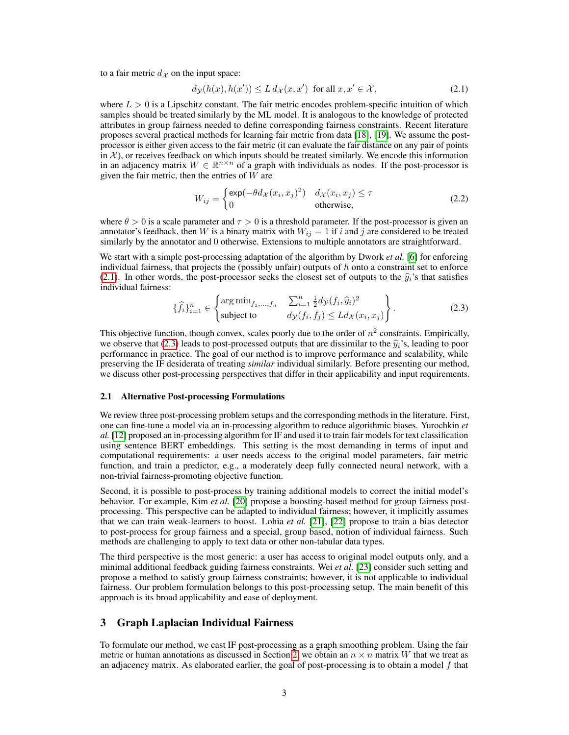to a fair metric  $d_{\mathcal{X}}$  on the input space:

<span id="page-2-1"></span>
$$
d_{\mathcal{Y}}(h(x), h(x')) \le L d_{\mathcal{X}}(x, x') \text{ for all } x, x' \in \mathcal{X},\tag{2.1}
$$

where  $L > 0$  is a Lipschitz constant. The fair metric encodes problem-specific intuition of which samples should be treated similarly by the ML model. It is analogous to the knowledge of protected attributes in group fairness needed to define corresponding fairness constraints. Recent literature proposes several practical methods for learning fair metric from data [\[18\]](#page-10-13), [\[19\]](#page-10-14). We assume the postprocessor is either given access to the fair metric (it can evaluate the fair distance on any pair of points in  $\mathcal{X}$ ), or receives feedback on which inputs should be treated similarly. We encode this information in an adjacency matrix  $W \in \mathbb{R}^{n \times n}$  of a graph with individuals as nodes. If the post-processor is given the fair metric, then the entries of  $W$  are

<span id="page-2-2"></span>
$$
W_{ij} = \begin{cases} \exp(-\theta d_{\mathcal{X}}(x_i, x_j)^2) & d_{\mathcal{X}}(x_i, x_j) \le \tau \\ 0 & \text{otherwise,} \end{cases}
$$
 (2.2)

where  $\theta > 0$  is a scale parameter and  $\tau > 0$  is a threshold parameter. If the post-processor is given an annotator's feedback, then W is a binary matrix with  $W_{ij} = 1$  if i and j are considered to be treated similarly by the annotator and 0 otherwise. Extensions to multiple annotators are straightforward.

We start with a simple post-processing adaptation of the algorithm by Dwork *et al.* [\[6\]](#page-10-3) for enforcing individual fairness, that projects the (possibly unfair) outputs of  $h$  onto a constraint set to enforce [\(2.1\)](#page-2-1). In other words, the post-processor seeks the closest set of outputs to the  $\hat{y}_i$ 's that satisfies individual fairness:

<span id="page-2-0"></span>
$$
\{\widehat{f}_i\}_{i=1}^n \in \begin{Bmatrix} \arg\min_{f_1,\dots,f_n} & \sum_{i=1}^n \frac{1}{2} d\mathcal{Y}(f_i, \widehat{y}_i)^2\\ \text{subject to} & d\mathcal{Y}(f_i, f_j) \leq L d\mathcal{X}(x_i, x_j) \end{Bmatrix} . \tag{2.3}
$$

This objective function, though convex, scales poorly due to the order of  $n^2$  constraints. Empirically, we observe that [\(2.3\)](#page-2-0) leads to post-processed outputs that are dissimilar to the  $\hat{y}_i$ 's, leading to poor performance in practice. The goal of our method is to improve performance and scalability, while preserving the IF desiderata of treating *similar* individual similarly. Before presenting our method, we discuss other post-processing perspectives that differ in their applicability and input requirements.

#### <span id="page-2-3"></span>2.1 Alternative Post-processing Formulations

We review three post-processing problem setups and the corresponding methods in the literature. First, one can fine-tune a model via an in-processing algorithm to reduce algorithmic biases. Yurochkin *et al.* [\[12\]](#page-10-15) proposed an in-processing algorithm for IF and used it to train fair models for text classification using sentence BERT embeddings. This setting is the most demanding in terms of input and computational requirements: a user needs access to the original model parameters, fair metric function, and train a predictor, e.g., a moderately deep fully connected neural network, with a non-trivial fairness-promoting objective function.

Second, it is possible to post-process by training additional models to correct the initial model's behavior. For example, Kim *et al.* [\[20\]](#page-10-16) propose a boosting-based method for group fairness postprocessing. This perspective can be adapted to individual fairness; however, it implicitly assumes that we can train weak-learners to boost. Lohia *et al.* [\[21\]](#page-10-17), [\[22\]](#page-10-18) propose to train a bias detector to post-process for group fairness and a special, group based, notion of individual fairness. Such methods are challenging to apply to text data or other non-tabular data types.

The third perspective is the most generic: a user has access to original model outputs only, and a minimal additional feedback guiding fairness constraints. Wei *et al.* [\[23\]](#page-10-19) consider such setting and propose a method to satisfy group fairness constraints; however, it is not applicable to individual fairness. Our problem formulation belongs to this post-processing setup. The main benefit of this approach is its broad applicability and ease of deployment.

## 3 Graph Laplacian Individual Fairness

To formulate our method, we cast IF post-processing as a graph smoothing problem. Using the fair metric or human annotations as discussed in Section [2,](#page-1-1) we obtain an  $n \times n$  matrix W that we treat as an adjacency matrix. As elaborated earlier, the goal of post-processing is to obtain a model  $f$  that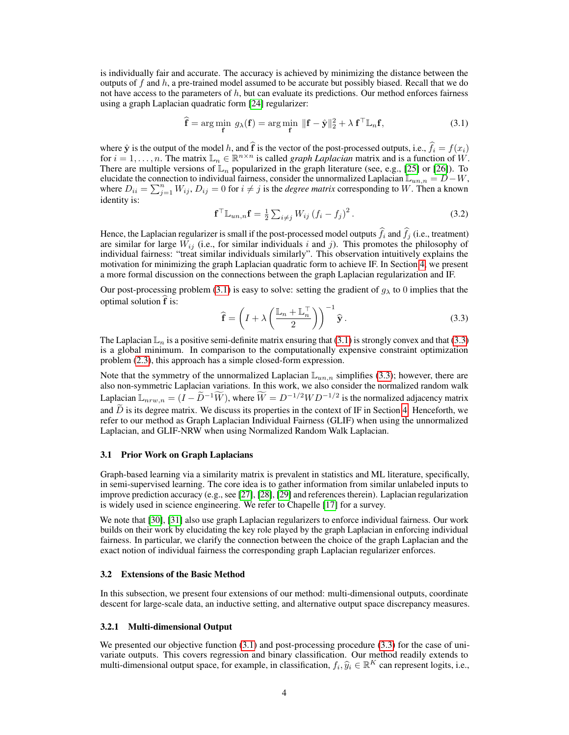is individually fair and accurate. The accuracy is achieved by minimizing the distance between the outputs of f and h, a pre-trained model assumed to be accurate but possibly biased. Recall that we do not have access to the parameters of  $h$ , but can evaluate its predictions. Our method enforces fairness using a graph Laplacian quadratic form [\[24\]](#page-11-0) regularizer:

<span id="page-3-0"></span>
$$
\hat{\mathbf{f}} = \arg\min_{\mathbf{f}} g_{\lambda}(\mathbf{f}) = \arg\min_{\mathbf{f}} \|\mathbf{f} - \hat{\mathbf{y}}\|_{2}^{2} + \lambda \mathbf{f}^{\top} \mathbb{L}_{n} \mathbf{f},
$$
\n(3.1)

where  $\hat{\mathbf{y}}$  is the output of the model h, and  $\mathbf{f}$  is the vector of the post-processed outputs, i.e.,  $f_i = f(x_i)$ for  $i = 1, \ldots, n$ . The matrix  $\mathbb{L}_n \in \mathbb{R}^{n \times n}$  is called *graph Laplacian* matrix and is a function of W. There are multiple versions of  $\mathbb{L}_n$  popularized in the graph literature (see, e.g., [\[25\]](#page-11-1) or [\[26\]](#page-11-2)). To elucidate the connection to individual fairness, consider the unnormalized Laplacian  $\mathbb{L}_{un,n} = D - W$ , where  $D_{ii} = \sum_{j=1}^{n} W_{ij}$ ,  $D_{ij} = 0$  for  $i \neq j$  is the *degree matrix* corresponding to W. Then a known where  $D_{ii} = \sum_{j=1}^{n} W_{ij}$ ,  $D_{ij} = 0$  for  $i \neq j$  is the *degree matrix* corresponding to W. Then a known identity is:

$$
\mathbf{f}^{\top} \mathbb{L}_{un,n} \mathbf{f} = \frac{1}{2} \sum_{i \neq j} W_{ij} (f_i - f_j)^2.
$$
 (3.2)

Hence, the Laplacian regularizer is small if the post-processed model outputs  $f_i$  and  $f_j$  (i.e., treatment) are similar for large  $\tilde{W}_{ij}$  (i.e., for similar individuals i and j). This promotes the philosophy of individual fairness: "treat similar individuals similarly". This observation intuitively explains the motivation for minimizing the graph Laplacian quadratic form to achieve IF. In Section [4,](#page-5-0) we present a more formal discussion on the connections between the graph Laplacian regularization and IF.

Our post-processing problem [\(3.1\)](#page-3-0) is easy to solve: setting the gradient of  $g_{\lambda}$  to 0 implies that the optimal solution  $\hat{f}$  is:

<span id="page-3-1"></span>
$$
\widehat{\mathbf{f}} = \left( I + \lambda \left( \frac{\mathbb{L}_n + \mathbb{L}_n^{\top}}{2} \right) \right)^{-1} \widehat{\mathbf{y}}.
$$
\n(3.3)

The Laplacian  $\mathbb{L}_n$  is a positive semi-definite matrix ensuring that [\(3.1\)](#page-3-0) is strongly convex and that [\(3.3\)](#page-3-1) is a global minimum. In comparison to the computationally expensive constraint optimization problem [\(2.3\)](#page-2-0), this approach has a simple closed-form expression.

Note that the symmetry of the unnormalized Laplacian  $\mathbb{L}_{un,n}$  simplifies [\(3.3\)](#page-3-1); however, there are also non-symmetric Laplacian variations. In this work, we also consider the normalized random walk Laplacian  $\mathbb{L}_{nrw,n} = (I - \widetilde{D}^{-1}\widetilde{W})$ , where  $\widetilde{W} = D^{-1/2}WD^{-1/2}$  is the normalized adjacency matrix and  $\widetilde{D}$  is its degree matrix. We discuss its properties in the context of IF in Section [4.](#page-5-0) Henceforth, we refer to our method as Graph Laplacian Individual Fairness (GLIF) when using the unnormalized Laplacian, and GLIF-NRW when using Normalized Random Walk Laplacian.

#### 3.1 Prior Work on Graph Laplacians

Graph-based learning via a similarity matrix is prevalent in statistics and ML literature, specifically, in semi-supervised learning. The core idea is to gather information from similar unlabeled inputs to improve prediction accuracy (e.g., see [\[27\]](#page-11-3), [\[28\]](#page-11-4), [\[29\]](#page-11-5) and references therein). Laplacian regularization is widely used in science engineering. We refer to Chapelle [\[17\]](#page-10-12) for a survey.

We note that [\[30\]](#page-11-6), [\[31\]](#page-11-7) also use graph Laplacian regularizers to enforce individual fairness. Our work builds on their work by elucidating the key role played by the graph Laplacian in enforcing individual fairness. In particular, we clarify the connection between the choice of the graph Laplacian and the exact notion of individual fairness the corresponding graph Laplacian regularizer enforces.

#### 3.2 Extensions of the Basic Method

In this subsection, we present four extensions of our method: multi-dimensional outputs, coordinate descent for large-scale data, an inductive setting, and alternative output space discrepancy measures.

### 3.2.1 Multi-dimensional Output

We presented our objective function  $(3.1)$  and post-processing procedure  $(3.3)$  for the case of univariate outputs. This covers regression and binary classification. Our method readily extends to multi-dimensional output space, for example, in classification,  $f_i, \hat{y}_i \in \mathbb{R}^K$  can represent logits, i.e.,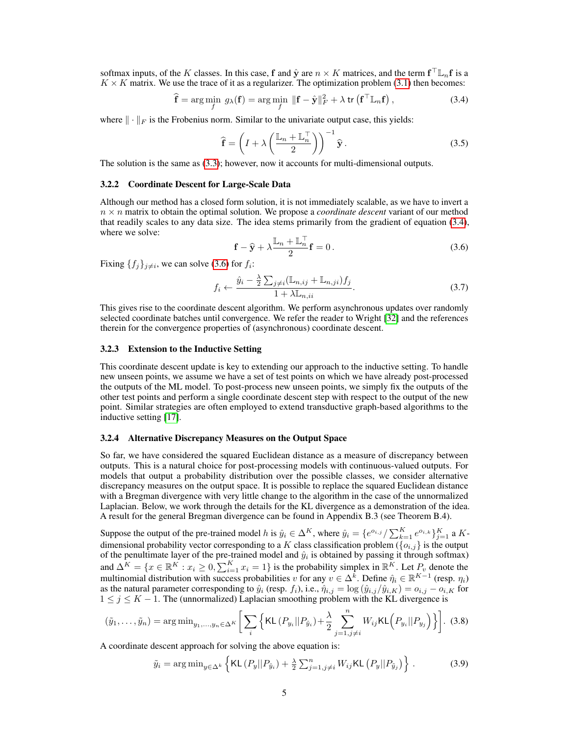softmax inputs, of the K classes. In this case, f and  $\hat{y}$  are  $n \times K$  matrices, and the term  $f^{\top} \mathbb{L}_n f$  is a  $K \times K$  matrix. We use the trace of it as a regularizer. The optimization problem [\(3.1\)](#page-3-0) then becomes:

$$
\hat{\mathbf{f}} = \arg\min_{f} \ g_{\lambda}(\mathbf{f}) = \arg\min_{f} \ \|\mathbf{f} - \hat{\mathbf{y}}\|_{F}^{2} + \lambda \operatorname{tr} \left(\mathbf{f}^{\top} \mathbb{L}_{n} \mathbf{f}\right),\tag{3.4}
$$

where  $\|\cdot\|_F$  is the Frobenius norm. Similar to the univariate output case, this yields:

<span id="page-4-2"></span><span id="page-4-0"></span>
$$
\widehat{\mathbf{f}} = \left( I + \lambda \left( \frac{\mathbb{L}_n + \mathbb{L}_n^{\top}}{2} \right) \right)^{-1} \widehat{\mathbf{y}}.
$$
 (3.5)

The solution is the same as [\(3.3\)](#page-3-1); however, now it accounts for multi-dimensional outputs.

#### 3.2.2 Coordinate Descent for Large-Scale Data

<span id="page-4-1"></span>Although our method has a closed form solution, it is not immediately scalable, as we have to invert a  $n \times n$  matrix to obtain the optimal solution. We propose a *coordinate descent* variant of our method that readily scales to any data size. The idea stems primarily from the gradient of equation [\(3.4\)](#page-4-0), where we solve:

$$
\mathbf{f} - \hat{\mathbf{y}} + \lambda \frac{\mathbb{L}_n + \mathbb{L}_n^{\top}}{2} \mathbf{f} = 0.
$$
 (3.6)

Fixing  $\{f_j\}_{j\neq i}$ , we can solve [\(3.6\)](#page-4-1) for  $f_i$ :

$$
f_i \leftarrow \frac{\hat{y}_i - \frac{\lambda}{2} \sum_{j \neq i} (\mathbb{L}_{n,ij} + \mathbb{L}_{n,j} i) f_j}{1 + \lambda \mathbb{L}_{n,ii}}.
$$
\n(3.7)

This gives rise to the coordinate descent algorithm. We perform asynchronous updates over randomly selected coordinate batches until convergence. We refer the reader to Wright [\[32\]](#page-11-8) and the references therein for the convergence properties of (asynchronous) coordinate descent.

#### 3.2.3 Extension to the Inductive Setting

This coordinate descent update is key to extending our approach to the inductive setting. To handle new unseen points, we assume we have a set of test points on which we have already post-processed the outputs of the ML model. To post-process new unseen points, we simply fix the outputs of the other test points and perform a single coordinate descent step with respect to the output of the new point. Similar strategies are often employed to extend transductive graph-based algorithms to the inductive setting [\[17\]](#page-10-12).

#### 3.2.4 Alternative Discrepancy Measures on the Output Space

So far, we have considered the squared Euclidean distance as a measure of discrepancy between outputs. This is a natural choice for post-processing models with continuous-valued outputs. For models that output a probability distribution over the possible classes, we consider alternative discrepancy measures on the output space. It is possible to replace the squared Euclidean distance with a Bregman divergence with very little change to the algorithm in the case of the unnormalized Laplacian. Below, we work through the details for the KL divergence as a demonstration of the idea. A result for the general Bregman divergence can be found in Appendix B.3 (see Theorem B.4).

Suppose the output of the pre-trained model h is  $\hat{y}_i \in \Delta^K$ , where  $\hat{y}_i = \{e^{o_{i,j}}/\sum_{k=1}^K e^{o_{i,k}}\}_{j=1}^K$  a Kdimensional probability vector corresponding to a K class classification problem  $(\lbrace o_{i,j} \rbrace)$  is the output of the penultimate layer of the pre-trained model and  $\hat{y}_i$  is obtained by passing it through softmax) and  $\Delta^K = \{x \in \mathbb{R}^K : x_i \geq 0, \sum_{i=1}^K x_i = 1\}$  is the probability simplex in  $\mathbb{R}^K$ . Let  $P_v$  denote the multinomial distribution with success probabilities v for any  $v \in \Delta^k$ . Define  $\hat{\eta}_i \in \mathbb{R}^{K-1}$  (resp.  $\eta_i$ ) as the natural parameter corresponding to  $\hat{y}_i$  (resp.  $f_i$ ), i.e.,  $\hat{\eta}_{i,j} = \log(\hat{y}_{i,j}/\hat{y}_{i,K}) = o_{i,j} - o_{i,K}$  for  $1 \leq j \leq K - 1$ . The (unnormalized) Laplacian smoothing problem with the KL divergence is

$$
(\tilde{y}_1,\ldots,\tilde{y}_n) = \arg\min_{y_1,\ldots,y_n \in \Delta^K} \left[ \sum_i \left\{ \text{KL}\left(P_{y_i} || P_{\hat{y}_i}\right) + \frac{\lambda}{2} \sum_{j=1,j \neq i}^n W_{ij} \text{KL}\left(P_{y_i} || P_{y_j}\right) \right\} \right].
$$
 (3.8)

A coordinate descent approach for solving the above equation is:

<span id="page-4-3"></span>
$$
\tilde{y}_i = \arg\min_{y \in \Delta^k} \left\{ \mathsf{KL}\left(P_y || P_{\hat{y}_i}\right) + \frac{\lambda}{2} \sum_{j=1, j \neq i}^n W_{ij} \mathsf{KL}\left(P_y || P_{\tilde{y}_j}\right) \right\} \,. \tag{3.9}
$$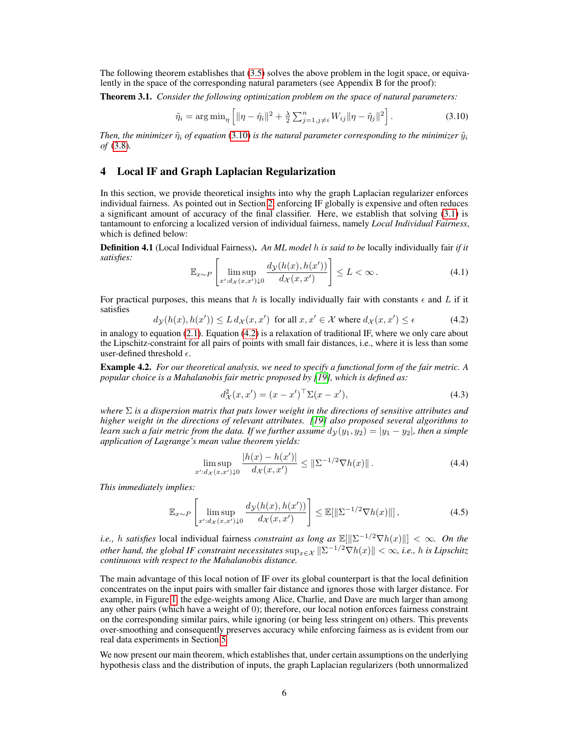The following theorem establishes that [\(3.5\)](#page-4-2) solves the above problem in the logit space, or equivalently in the space of the corresponding natural parameters (see Appendix B for the proof):

Theorem 3.1. *Consider the following optimization problem on the space of natural parameters:* 

<span id="page-5-1"></span>
$$
\tilde{\eta}_i = \arg\min_{\eta} \left[ \| \eta - \hat{\eta}_i \|^2 + \frac{\lambda}{2} \sum_{j=1, j \neq i}^n W_{ij} \| \eta - \tilde{\eta}_j \|^2 \right].
$$
 (3.10)

*Then, the minimizer*  $\tilde{\eta}_i$  *of equation* [\(3.10\)](#page-5-1) *is the natural parameter corresponding to the minimizer*  $\tilde{y}_i$ *of* [\(3.8\)](#page-4-3)*.* 

## <span id="page-5-0"></span>4 Local IF and Graph Laplacian Regularization

In this section, we provide theoretical insights into why the graph Laplacian regularizer enforces individual fairness. As pointed out in Section [2,](#page-1-1) enforcing IF globally is expensive and often reduces a significant amount of accuracy of the final classifier. Here, we establish that solving [\(3.1\)](#page-3-0) is tantamount to enforcing a localized version of individual fairness, namely *Local Individual Fairness*, which is defined below:

<span id="page-5-3"></span>Definition 4.1 (Local Individual Fairness). *An ML model* h *is said to be* locally individually fair *if it satisfies:*  $\left[\begin{array}{cc} \n\frac{1}{2} & \frac{1}{2} \cos \theta & \frac{1}{2} \cos \theta & \frac{1}{2} \cos \theta & \frac{1}{2} \cos \theta & \frac{1}{2} \cos \theta & \frac{1}{2} \cos \theta & \frac{1}{2} \cos \theta & \frac{1}{2} \cos \theta & \frac{1}{2} \cos \theta & \frac{1}{2} \cos \theta & \frac{1}{2} \cos \theta & \frac{1}{2} \cos \theta & \frac{1}{2} \cos \theta & \frac{1}{2} \cos \theta & \frac{1}{2} \cos \theta & \frac{1}{2} \$ 

$$
\mathbb{E}_{x \sim P} \left[ \limsup_{x':dx(x,x') \downarrow 0} \frac{d\mathbf{y}(h(x), h(x'))}{d\mathbf{x}(x, x')} \right] \le L < \infty.
$$
 (4.1)

For practical purposes, this means that h is locally individually fair with constants  $\epsilon$  and L if it satisfies  $d_{\mathcal{Y}}(h(x),h(x')) \leq L d_{\mathcal{X}}(x,x')$  for all  $x,x'$ 

<span id="page-5-2"></span>
$$
d_{\mathcal{Y}}(h(x), h(x')) \le L \, d_{\mathcal{X}}(x, x') \quad \text{for all } x, x' \in \mathcal{X} \text{ where } d_{\mathcal{X}}(x, x') \le \epsilon \tag{4.2}
$$

in analogy to equation [\(2.1\)](#page-2-1). Equation [\(4.2\)](#page-5-2) is a relaxation of traditional IF, where we only care about the Lipschitz-constraint for all pairs of points with small fair distances, i.e., where it is less than some user-defined threshold  $\epsilon$ .

<span id="page-5-4"></span>Example 4.2. *For our theoretical analysis, we need to specify a functional form of the fair metric. A popular choice is a Mahalanobis fair metric proposed by [\[19\]](#page-10-14), which is defined as:* 

$$
d_{\mathcal{X}}^{2}(x, x') = (x - x')^{\top} \Sigma (x - x'), \qquad (4.3)
$$

*where*  $\Sigma$  *is a dispersion matrix that puts lower weight in the directions of sensitive attributes and higher weight in the directions of relevant attributes. [\[19\]](#page-10-14) also proposed several algorithms to learn such a fair metric from the data. If we further assume*  $d<sub>V</sub>(y<sub>1</sub>, y<sub>2</sub>) = |y<sub>1</sub> - y<sub>2</sub>|$ *, then a simple application of Lagrange's mean value theorem yields:* 

$$
\limsup_{x':d_{\mathcal{X}}(x,x')\downarrow 0} \frac{|h(x) - h(x')|}{d_{\mathcal{X}}(x,x')} \leq \|\Sigma^{-1/2} \nabla h(x)\|.
$$
 (4.4)

*This immediately implies:* 

$$
\mathbb{E}_{x \sim P} \left[ \limsup_{x' : d_{\mathcal{X}}(x, x') \downarrow 0} \frac{d_{\mathcal{Y}}(h(x), h(x'))}{d_{\mathcal{X}}(x, x')} \right] \le \mathbb{E}[\|\Sigma^{-1/2} \nabla h(x)\|] \,, \tag{4.5}
$$

*i.e., h satisfies* local individual fairness *constraint as long as*  $\mathbb{E}[\|\Sigma^{-1/2}\nabla h(x)\|]<\infty$ *. On the other hand, the global IF constraint necessitates*  $\sup_{x \in \mathcal{X}} ||\Sigma^{-1/2}\nabla h(x)|| < \infty$ *, i.e., h is Lipschitz continuous with respect to the Mahalanobis distance.* 

The main advantage of this local notion of IF over its global counterpart is that the local definition concentrates on the input pairs with smaller fair distance and ignores those with larger distance. For example, in Figure [1,](#page-1-0) the edge-weights among Alice, Charlie, and Dave are much larger than among any other pairs (which have a weight of 0); therefore, our local notion enforces fairness constraint on the corresponding similar pairs, while ignoring (or being less stringent on) others. This prevents over-smoothing and consequently preserves accuracy while enforcing fairness as is evident from our real data experiments in Section [5.](#page-7-0)

We now present our main theorem, which establishes that, under certain assumptions on the underlying hypothesis class and the distribution of inputs, the graph Laplacian regularizers (both unnormalized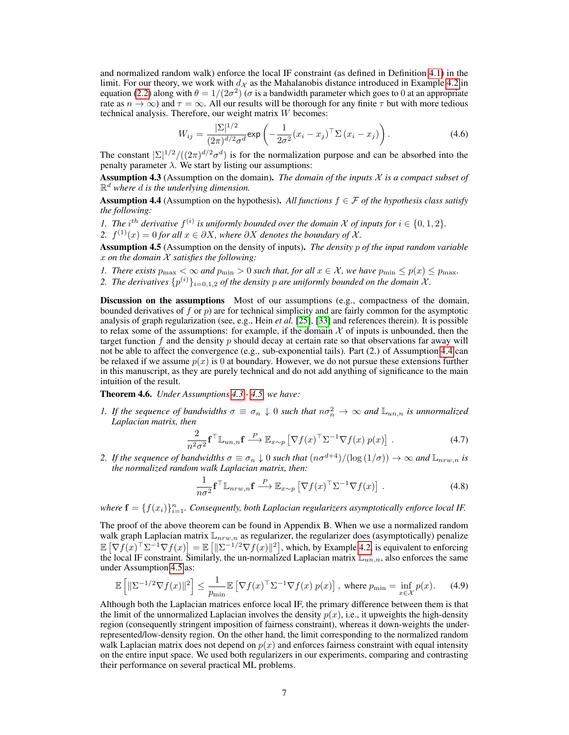and normalized random walk) enforce the local IF constraint (as defined in Definition [4.1\)](#page-5-3) in the limit. For our theory, we work with  $d<sub>X</sub>$  as the Mahalanobis distance introduced in Example [4.2](#page-5-4) in equation [\(2.2\)](#page-2-2) along with  $\theta = 1/(2\sigma^2)$  ( $\sigma$  is a bandwidth parameter which goes to 0 at an appropriate rate as  $n \to \infty$ ) and  $\tau = \infty$ . All our results will be thorough for any finite  $\tau$  but with more tedious technical analysis. Therefore, our weight matrix W becomes:

$$
W_{ij} = \frac{|\Sigma|^{1/2}}{(2\pi)^{d/2}\sigma^d} \exp\left(-\frac{1}{2\sigma^2}(x_i - x_j)^\top \Sigma (x_i - x_j)\right).
$$
 (4.6)

The constant  $|\Sigma|^{1/2}/((2\pi)^{d/2}\sigma^d)$  is for the normalization purpose and can be absorbed into the penalty parameter  $\lambda$ . We start by listing our assumptions:

<span id="page-6-1"></span>Assumption 4.3 (Assumption on the domain). *The domain of the inputs* X *is a compact subset of*   $\mathbb{R}^d$  where  $d$  *is the underlying dimension.* 

<span id="page-6-0"></span>**Assumption 4.4** (Assumption on the hypothesis). All functions  $f \in \mathcal{F}$  of the hypothesis class satisfy *the following:* 

*1. The*  $i^{th}$  *derivative*  $f^{(i)}$  *is uniformly bounded over the domain*  $\mathcal X$  *of inputs for*  $i \in \{0, 1, 2\}$ *.* 

*2.*  $f^{(1)}(x) = 0$  *for all*  $x \in \partial X$ *, where*  $\partial X$  *denotes the boundary of*  $\mathcal{X}$ *.* 

<span id="page-6-2"></span>Assumption 4.5 (Assumption on the density of inputs). *The density* p *of the input random variable*  x *on the domain* X *satisfies the following:* 

- *1. There exists*  $p_{\text{max}} < \infty$  *and*  $p_{\text{min}} > 0$  *such that, for all*  $x \in \mathcal{X}$ *, we have*  $p_{\text{min}} \leq p(x) \leq p_{\text{max}}$ *.*
- 2. The derivatives  $\{p^{(i)}\}_{i=0,1,2}$  of the density p are uniformly bounded on the domain X.

Discussion on the assumptions Most of our assumptions (e.g., compactness of the domain, bounded derivatives of f or  $p$ ) are for technical simplicity and are fairly common for the asymptotic analysis of graph regularization (see, e.g., Hein *et al.* [\[25\]](#page-11-1), [\[33\]](#page-11-9) and references therein). It is possible to relax some of the assumptions: for example, if the domain  $X$  of inputs is unbounded, then the target function  $f$  and the density  $p$  should decay at certain rate so that observations far away will not be able to affect the convergence (e.g., sub-exponential tails). Part (2.) of Assumption [4.4](#page-6-0) can be relaxed if we assume  $p(x)$  is 0 at boundary. However, we do not pursue these extensions further in this manuscript, as they are purely technical and do not add anything of significance to the main intuition of the result.

<span id="page-6-3"></span>Theorem 4.6. *Under Assumptions [4.3](#page-6-1) - [4.5,](#page-6-2) we have:* 

*1. If the sequence of bandwidths*  $\sigma \equiv \sigma_n \downarrow 0$  *such that*  $n\sigma_n^2 \to \infty$  *and*  $\mathbb{L}_{un,n}$  *is unnormalized Laplacian matrix, then* 

$$
\frac{2}{n^2\sigma^2} \mathbf{f}^\top \mathbb{L}_{un,n} \mathbf{f} \stackrel{P}{\longrightarrow} \mathbb{E}_{x \sim p} \left[ \nabla f(x)^\top \Sigma^{-1} \nabla f(x) \, p(x) \right] \,. \tag{4.7}
$$

*2. If the sequence of bandwidths*  $\sigma \equiv \sigma_n \downarrow 0$  *such that*  $(n\sigma^{d+4})/(\log(1/\sigma)) \to \infty$  *and*  $\mathbb{L}_{n\mu}(n)$  *is the normalized random walk Laplacian matrix, then:* 

$$
\frac{1}{n\sigma^2} \mathbf{f}^\top \mathbb{L}_{nrw,n} \mathbf{f} \stackrel{P}{\longrightarrow} \mathbb{E}_{x \sim p} \left[ \nabla f(x)^\top \Sigma^{-1} \nabla f(x) \right]. \tag{4.8}
$$

where  $\mathbf{f} = \{f(x_i)\}_{i=1}^n$ . Consequently, both Laplacian regularizers asymptotically enforce local IF.

The proof of the above theorem can be found in Appendix B. When we use a normalized random walk graph Laplacian matrix  $\mathbb{L}_{nrw,n}$  as regularizer, the regularizer does (asymptotically) penalize  $\mathbb{E} \left[ \nabla f(x)^\top \Sigma^{-1} \nabla f(x) \right] = \mathbb{E} \left[ \|\Sigma^{-1/2} \nabla f(x)\|^2 \right]$ , which, by Example [4.2,](#page-5-4) is equivalent to enforcing the local IF constraint. Similarly, the un-normalized Laplacian matrix  $\mathbb{L}_{un,n}$ , also enforces the same under Assumption [4.5](#page-6-2) as:

$$
\mathbb{E}\left[\|\Sigma^{-1/2}\nabla f(x)\|^2\right] \le \frac{1}{p_{\min}} \mathbb{E}\left[\nabla f(x)^\top \Sigma^{-1} \nabla f(x) \, p(x)\right], \text{ where } p_{\min} = \inf_{x \in \mathcal{X}} p(x). \tag{4.9}
$$

Although both the Laplacian matrices enforce local IF, the primary difference between them is that the limit of the unnormalized Laplacian involves the density  $p(x)$ , i.e., it upweights the high-density region (consequently stringent imposition of fairness constraint), whereas it down-weights the underrepresented/low-density region. On the other hand, the limit corresponding to the normalized random walk Laplacian matrix does not depend on  $p(x)$  and enforces fairness constraint with equal intensity on the entire input space. We used both regularizers in our experiments, comparing and contrasting their performance on several practical ML problems.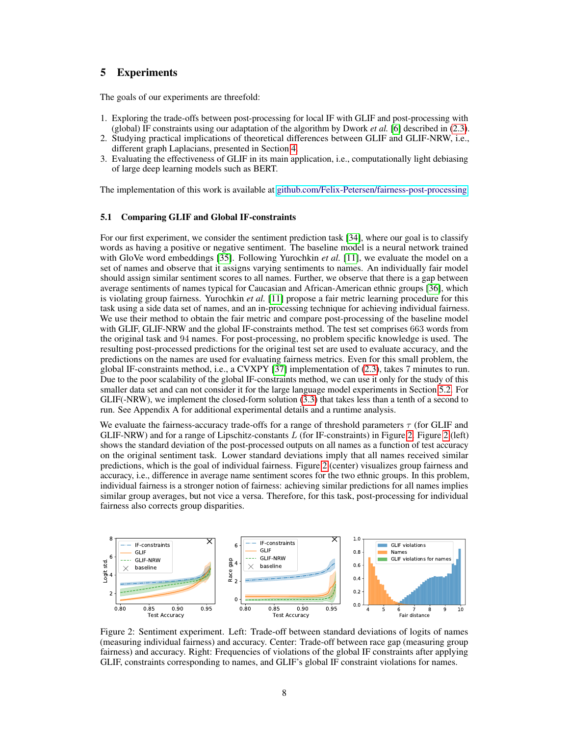# <span id="page-7-0"></span>5 Experiments

The goals of our experiments are threefold:

- 1. Exploring the trade-offs between post-processing for local IF with GLIF and post-processing with (global) IF constraints using our adaptation of the algorithm by Dwork *et al.* [\[6\]](#page-10-3) described in [\(2.3\)](#page-2-0).
- 2. Studying practical implications of theoretical differences between GLIF and GLIF-NRW, i.e., different graph Laplacians, presented in Section [4.](#page-5-0)
- 3. Evaluating the effectiveness of GLIF in its main application, i.e., computationally light debiasing of large deep learning models such as BERT.

The implementation of this work is available at [github.com/Felix-Petersen/fairness-post-processing.](https://github.com/Felix-Petersen/fairness-post-processing)

#### 5.1 Comparing GLIF and Global IF-constraints

For our first experiment, we consider the sentiment prediction task [\[34\]](#page-11-10), where our goal is to classify words as having a positive or negative sentiment. The baseline model is a neural network trained with GloVe word embeddings [\[35\]](#page-11-11). Following Yurochkin *et al.* [\[11\]](#page-10-20), we evaluate the model on a set of names and observe that it assigns varying sentiments to names. An individually fair model should assign similar sentiment scores to all names. Further, we observe that there is a gap between average sentiments of names typical for Caucasian and African-American ethnic groups [\[36\]](#page-11-12), which is violating group fairness. Yurochkin *et al.* [\[11\]](#page-10-20) propose a fair metric learning procedure for this task using a side data set of names, and an in-processing technique for achieving individual fairness. We use their method to obtain the fair metric and compare post-processing of the baseline model with GLIF, GLIF-NRW and the global IF-constraints method. The test set comprises 663 words from the original task and 94 names. For post-processing, no problem specific knowledge is used. The resulting post-processed predictions for the original test set are used to evaluate accuracy, and the predictions on the names are used for evaluating fairness metrics. Even for this small problem, the global IF-constraints method, i.e., a CVXPY [\[37\]](#page-11-13) implementation of [\(2.3\)](#page-2-0), takes 7 minutes to run. Due to the poor scalability of the global IF-constraints method, we can use it only for the study of this smaller data set and can not consider it for the large language model experiments in Section [5.2.](#page-8-0) For GLIF(-NRW), we implement the closed-form solution [\(3.3\)](#page-3-1) that takes less than a tenth of a second to run. See Appendix A for additional experimental details and a runtime analysis.

We evaluate the fairness-accuracy trade-offs for a range of threshold parameters  $\tau$  (for GLIF and GLIF-NRW) and for a range of Lipschitz-constants  $L$  (for IF-constraints) in Figure [2.](#page-7-1) Figure [2](#page-7-1) (left) shows the standard deviation of the post-processed outputs on all names as a function of test accuracy on the original sentiment task. Lower standard deviations imply that all names received similar predictions, which is the goal of individual fairness. Figure [2](#page-7-1) (center) visualizes group fairness and accuracy, i.e., difference in average name sentiment scores for the two ethnic groups. In this problem, individual fairness is a stronger notion of fairness: achieving similar predictions for all names implies similar group averages, but not vice a versa. Therefore, for this task, post-processing for individual fairness also corrects group disparities.

<span id="page-7-1"></span>

Figure 2: Sentiment experiment. Left: Trade-off between standard deviations of logits of names (measuring individual fairness) and accuracy. Center: Trade-off between race gap (measuring group fairness) and accuracy. Right: Frequencies of violations of the global IF constraints after applying GLIF, constraints corresponding to names, and GLIF's global IF constraint violations for names.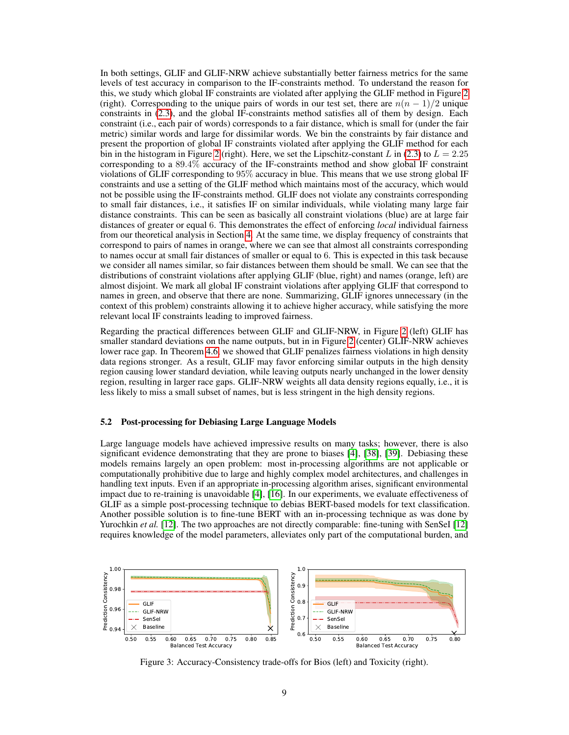In both settings, GLIF and GLIF-NRW achieve substantially better fairness metrics for the same levels of test accuracy in comparison to the IF-constraints method. To understand the reason for this, we study which global IF constraints are violated after applying the GLIF method in Figure [2](#page-7-1)  (right). Corresponding to the unique pairs of words in our test set, there are  $n(n-1)/2$  unique constraints in [\(2.3\)](#page-2-0), and the global IF-constraints method satisfies all of them by design. Each constraint (i.e., each pair of words) corresponds to a fair distance, which is small for (under the fair metric) similar words and large for dissimilar words. We bin the constraints by fair distance and present the proportion of global IF constraints violated after applying the GLIF method for each bin in the histogram in Figure [2](#page-7-1) (right). Here, we set the Lipschitz-constant L in [\(2.3\)](#page-2-0) to  $L = 2.25$ corresponding to a 89.4% accuracy of the IF-constraints method and show global IF constraint violations of GLIF corresponding to 95% accuracy in blue. This means that we use strong global IF constraints and use a setting of the GLIF method which maintains most of the accuracy, which would not be possible using the IF-constraints method. GLIF does not violate any constraints corresponding to small fair distances, i.e., it satisfies IF on similar individuals, while violating many large fair distance constraints. This can be seen as basically all constraint violations (blue) are at large fair distances of greater or equal 6. This demonstrates the effect of enforcing *local* individual fairness from our theoretical analysis in Section [4.](#page-5-0) At the same time, we display frequency of constraints that correspond to pairs of names in orange, where we can see that almost all constraints corresponding to names occur at small fair distances of smaller or equal to 6. This is expected in this task because we consider all names similar, so fair distances between them should be small. We can see that the distributions of constraint violations after applying GLIF (blue, right) and names (orange, left) are almost disjoint. We mark all global IF constraint violations after applying GLIF that correspond to names in green, and observe that there are none. Summarizing, GLIF ignores unnecessary (in the context of this problem) constraints allowing it to achieve higher accuracy, while satisfying the more relevant local IF constraints leading to improved fairness.

Regarding the practical differences between GLIF and GLIF-NRW, in Figure [2](#page-7-1) (left) GLIF has smaller standard deviations on the name outputs, but in in Figure [2](#page-7-1) (center) GLIF-NRW achieves lower race gap. In Theorem [4.6,](#page-6-3) we showed that GLIF penalizes fairness violations in high density data regions stronger. As a result, GLIF may favor enforcing similar outputs in the high density region causing lower standard deviation, while leaving outputs nearly unchanged in the lower density region, resulting in larger race gaps. GLIF-NRW weights all data density regions equally, i.e., it is less likely to miss a small subset of names, but is less stringent in the high density regions.

#### <span id="page-8-0"></span>5.2 Post-processing for Debiasing Large Language Models

Large language models have achieved impressive results on many tasks; however, there is also significant evidence demonstrating that they are prone to biases [\[4\]](#page-10-1), [\[38\]](#page-11-14), [\[39\]](#page-11-15). Debiasing these models remains largely an open problem: most in-processing algorithms are not applicable or computationally prohibitive due to large and highly complex model architectures, and challenges in handling text inputs. Even if an appropriate in-processing algorithm arises, significant environmental impact due to re-training is unavoidable [\[4\]](#page-10-1), [\[16\]](#page-10-11). In our experiments, we evaluate effectiveness of GLIF as a simple post-processing technique to debias BERT-based models for text classification. Another possible solution is to fine-tune BERT with an in-processing technique as was done by Yurochkin *et al.* [\[12\]](#page-10-15). The two approaches are not directly comparable: fine-tuning with SenSeI [12] requires knowledge of the model parameters, alleviates only part of the computational burden, and

<span id="page-8-1"></span>

Figure 3: Accuracy-Consistency trade-offs for Bios (left) and Toxicity (right).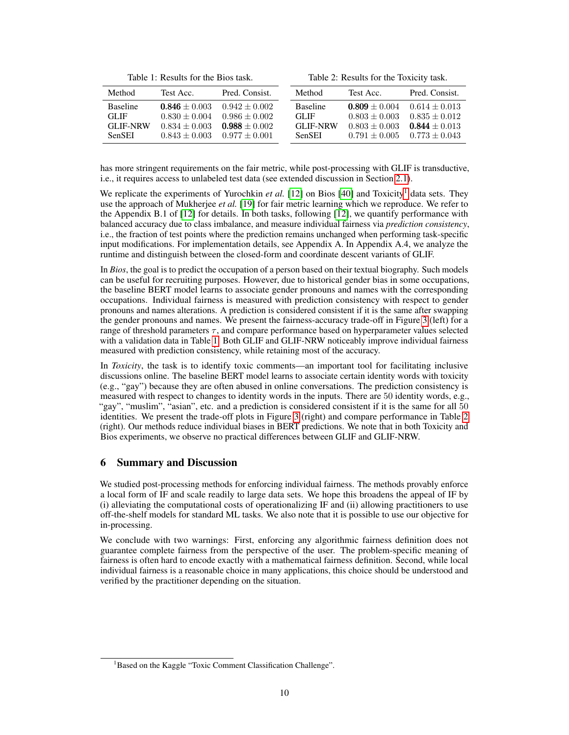Table 1: Results for the Bios task.

Table 2: Results for the Toxicity task.

<span id="page-9-0"></span>

| Method          | Test Acc.       | Pred. Consist.    | Method          | Test Acc.       | Pred. Consist.  |
|-----------------|-----------------|-------------------|-----------------|-----------------|-----------------|
| <b>Baseline</b> | $0.846 + 0.003$ | $0.942 + 0.002$   | <b>Baseline</b> | $0.809 + 0.004$ | $0.614 + 0.013$ |
| GL JF           | $0.830 + 0.004$ | $0.986 \pm 0.002$ | GL JF           | $0.803 + 0.003$ | $0.835 + 0.012$ |
| <b>GLIF-NRW</b> | $0.834 + 0.003$ | $0.988 + 0.002$   | <b>GLIF-NRW</b> | $0.803 + 0.003$ | $0.844 + 0.013$ |
| <b>SenSEI</b>   | $0.843 + 0.003$ | $0.977 + 0.001$   | SenSEI          | $0.791 + 0.005$ | $0.773 + 0.043$ |

has more stringent requirements on the fair metric, while post-processing with GLIF is transductive, i.e., it requires access to unlabeled test data (see extended discussion in Section [2.1\)](#page-2-3).

We replicate the experiments of Yurochkin *et al.* [\[12\]](#page-10-15) on Bios [\[40\]](#page-11-16) and Toxicity<sup>1</sup> data sets. They use the approach of Mukherjee *et al.* [\[19\]](#page-10-14) for fair metric learning which we reproduce. We refer to the Appendix B.1 of [\[12\]](#page-10-15) for details. In both tasks, following [\[12\]](#page-10-15), we quantify performance with balanced accuracy due to class imbalance, and measure individual fairness via *prediction consistency*, i.e., the fraction of test points where the prediction remains unchanged when performing task-specific input modifications. For implementation details, see Appendix A. In Appendix A.4, we analyze the runtime and distinguish between the closed-form and coordinate descent variants of GLIF.

In *Bios*, the goal is to predict the occupation of a person based on their textual biography. Such models can be useful for recruiting purposes. However, due to historical gender bias in some occupations, the baseline BERT model learns to associate gender pronouns and names with the corresponding occupations. Individual fairness is measured with prediction consistency with respect to gender pronouns and names alterations. A prediction is considered consistent if it is the same after swapping the gender pronouns and names. We present the fairness-accuracy trade-off in Figure [3](#page-8-1) (left) for a range of threshold parameters  $\tau$ , and compare performance based on hyperparameter values selected with a validation data in Table [1.](#page-9-0) Both GLIF and GLIF-NRW noticeably improve individual fairness measured with prediction consistency, while retaining most of the accuracy.

In *Toxicity*, the task is to identify toxic comments—an important tool for facilitating inclusive discussions online. The baseline BERT model learns to associate certain identity words with toxicity (e.g., "gay") because they are often abused in online conversations. The prediction consistency is measured with respect to changes to identity words in the inputs. There are 50 identity words, e.g., "gay", "muslim", "asian", etc. and a prediction is considered consistent if it is the same for all 50 identities. We present the trade-off plots in Figure [3](#page-8-1) (right) and compare performance in Table [2](#page-9-0)  (right). Our methods reduce individual biases in BERT predictions. We note that in both Toxicity and Bios experiments, we observe no practical differences between GLIF and GLIF-NRW.

## 6 Summary and Discussion

We studied post-processing methods for enforcing individual fairness. The methods provably enforce a local form of IF and scale readily to large data sets. We hope this broadens the appeal of IF by (i) alleviating the computational costs of operationalizing IF and (ii) allowing practitioners to use off-the-shelf models for standard ML tasks. We also note that it is possible to use our objective for in-processing.

We conclude with two warnings: First, enforcing any algorithmic fairness definition does not guarantee complete fairness from the perspective of the user. The problem-specific meaning of fairness is often hard to encode exactly with a mathematical fairness definition. Second, while local individual fairness is a reasonable choice in many applications, this choice should be understood and verified by the practitioner depending on the situation.

<sup>&</sup>lt;sup>1</sup>Based on the Kaggle "Toxic Comment Classification Challenge".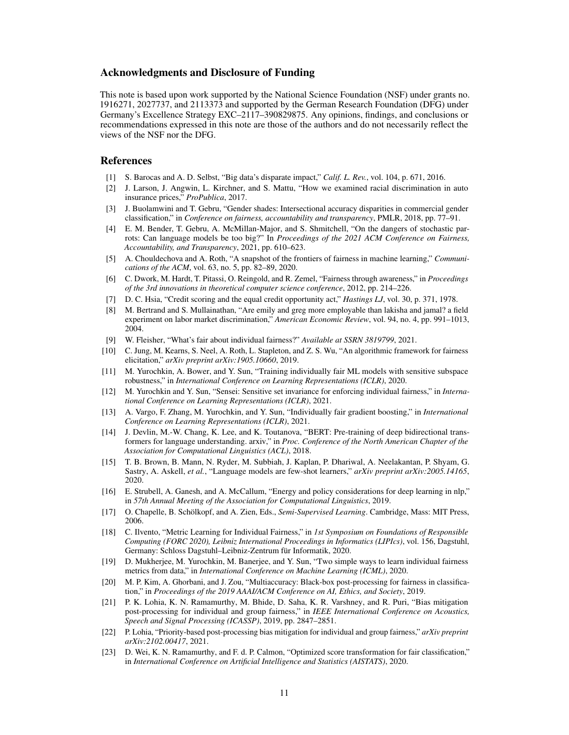## Acknowledgments and Disclosure of Funding

This note is based upon work supported by the National Science Foundation (NSF) under grants no. 1916271, 2027737, and 2113373 and supported by the German Research Foundation (DFG) under Germany's Excellence Strategy EXC–2117–390829875. Any opinions, findings, and conclusions or recommendations expressed in this note are those of the authors and do not necessarily reflect the views of the NSF nor the DFG.

## References

- <span id="page-10-0"></span>[1] S. Barocas and A. D. Selbst, "Big data's disparate impact," *Calif. L. Rev.*, vol. 104, p. 671, 2016.
- [2] J. Larson, J. Angwin, L. Kirchner, and S. Mattu, "How we examined racial discrimination in auto insurance prices," *ProPublica*, 2017.
- [3] J. Buolamwini and T. Gebru, "Gender shades: Intersectional accuracy disparities in commercial gender classification," in *Conference on fairness, accountability and transparency*, PMLR, 2018, pp. 77–91.
- <span id="page-10-1"></span>[4] E. M. Bender, T. Gebru, A. McMillan-Major, and S. Shmitchell, "On the dangers of stochastic parrots: Can language models be too big?" In *Proceedings of the 2021 ACM Conference on Fairness, Accountability, and Transparency*, 2021, pp. 610–623.
- <span id="page-10-2"></span>[5] A. Chouldechova and A. Roth, "A snapshot of the frontiers of fairness in machine learning," *Communications of the ACM*, vol. 63, no. 5, pp. 82–89, 2020.
- <span id="page-10-3"></span>[6] C. Dwork, M. Hardt, T. Pitassi, O. Reingold, and R. Zemel, "Fairness through awareness," in *Proceedings of the 3rd innovations in theoretical computer science conference*, 2012, pp. 214–226.
- <span id="page-10-4"></span>[7] D. C. Hsia, "Credit scoring and the equal credit opportunity act," *Hastings LJ*, vol. 30, p. 371, 1978.
- <span id="page-10-5"></span>[8] M. Bertrand and S. Mullainathan, "Are emily and greg more employable than lakisha and jamal? a field experiment on labor market discrimination," *American Economic Review*, vol. 94, no. 4, pp. 991–1013, 2004.
- <span id="page-10-6"></span>[9] W. Fleisher, "What's fair about individual fairness?" *Available at SSRN 3819799*, 2021.
- <span id="page-10-7"></span>[10] C. Jung, M. Kearns, S. Neel, A. Roth, L. Stapleton, and Z. S. Wu, "An algorithmic framework for fairness elicitation," *arXiv preprint arXiv:1905.10660*, 2019.
- <span id="page-10-20"></span>[11] M. Yurochkin, A. Bower, and Y. Sun, "Training individually fair ML models with sensitive subspace robustness," in *International Conference on Learning Representations (ICLR)*, 2020.
- <span id="page-10-15"></span>[12] M. Yurochkin and Y. Sun, "Sensei: Sensitive set invariance for enforcing individual fairness," in *International Conference on Learning Representations (ICLR)*, 2021.
- <span id="page-10-8"></span>[13] A. Vargo, F. Zhang, M. Yurochkin, and Y. Sun, "Individually fair gradient boosting," in *International Conference on Learning Representations (ICLR)*, 2021.
- <span id="page-10-9"></span>[14] J. Devlin, M.-W. Chang, K. Lee, and K. Toutanova, "BERT: Pre-training of deep bidirectional transformers for language understanding. arxiv," in *Proc. Conference of the North American Chapter of the Association for Computational Linguistics (ACL)*, 2018.
- <span id="page-10-10"></span>[15] T. B. Brown, B. Mann, N. Ryder, M. Subbiah, J. Kaplan, P. Dhariwal, A. Neelakantan, P. Shyam, G. Sastry, A. Askell, *et al.*, "Language models are few-shot learners," *arXiv preprint arXiv:2005.14165*, 2020.
- <span id="page-10-11"></span>[16] E. Strubell, A. Ganesh, and A. McCallum, "Energy and policy considerations for deep learning in nlp," in *57th Annual Meeting of the Association for Computational Linguistics*, 2019.
- <span id="page-10-12"></span>[17] O. Chapelle, B. Schölkopf, and A. Zien, Eds., *Semi-Supervised Learning*. Cambridge, Mass: MIT Press, 2006.
- <span id="page-10-13"></span>[18] C. Ilvento, "Metric Learning for Individual Fairness," in *1st Symposium on Foundations of Responsible Computing (FORC 2020), Leibniz International Proceedings in Informatics (LIPIcs)*, vol. 156, Dagstuhl, Germany: Schloss Dagstuhl–Leibniz-Zentrum für Informatik, 2020.
- <span id="page-10-14"></span>[19] D. Mukherjee, M. Yurochkin, M. Banerjee, and Y. Sun, "Two simple ways to learn individual fairness metrics from data," in *International Conference on Machine Learning (ICML)*, 2020.
- <span id="page-10-16"></span>[20] M. P. Kim, A. Ghorbani, and J. Zou, "Multiaccuracy: Black-box post-processing for fairness in classification," in *Proceedings of the 2019 AAAI/ACM Conference on AI, Ethics, and Society*, 2019.
- <span id="page-10-17"></span>[21] P. K. Lohia, K. N. Ramamurthy, M. Bhide, D. Saha, K. R. Varshney, and R. Puri, "Bias mitigation post-processing for individual and group fairness," in *IEEE International Conference on Acoustics, Speech and Signal Processing (ICASSP)*, 2019, pp. 2847–2851.
- <span id="page-10-18"></span>[22] P. Lohia, "Priority-based post-processing bias mitigation for individual and group fairness," *arXiv preprint arXiv:2102.00417*, 2021.
- <span id="page-10-19"></span>[23] D. Wei, K. N. Ramamurthy, and F. d. P. Calmon, "Optimized score transformation for fair classification," in *International Conference on Artificial Intelligence and Statistics (AISTATS)*, 2020.